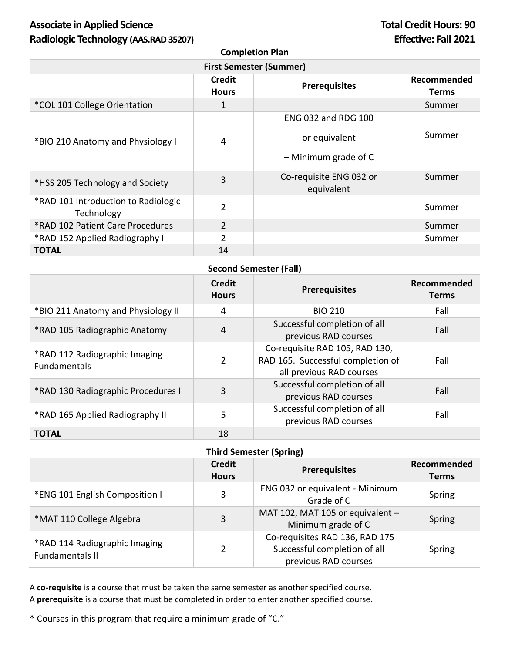# Associate in Applied Science **Total Credit Hours: 90 Radiologic Technology (AAS.RAD 35207) Effective: Fall 2021**

**Completion Plan**

| <b>First Semester (Summer)</b>                    |                               |                                                                       |                      |
|---------------------------------------------------|-------------------------------|-----------------------------------------------------------------------|----------------------|
|                                                   | <b>Credit</b><br><b>Hours</b> | <b>Prerequisites</b>                                                  | Recommended<br>Terms |
| *COL 101 College Orientation                      |                               |                                                                       | Summer               |
| *BIO 210 Anatomy and Physiology I                 | 4                             | <b>ENG 032 and RDG 100</b><br>or equivalent<br>$-$ Minimum grade of C | Summer               |
| *HSS 205 Technology and Society                   | 3                             | Co-requisite ENG 032 or<br>equivalent                                 | Summer               |
| *RAD 101 Introduction to Radiologic<br>Technology | $\overline{2}$                |                                                                       | Summer               |
| *RAD 102 Patient Care Procedures                  | $\overline{2}$                |                                                                       | Summer               |
| *RAD 152 Applied Radiography I                    | $\overline{2}$                |                                                                       | Summer               |
| TOTAL                                             | 14                            |                                                                       |                      |

## **Second Semester (Fall)**

|                                                      | <b>Credit</b><br><b>Hours</b> | <b>Prerequisites</b>                                                                            | Recommended<br><b>Terms</b> |
|------------------------------------------------------|-------------------------------|-------------------------------------------------------------------------------------------------|-----------------------------|
| *BIO 211 Anatomy and Physiology II                   | 4                             | <b>BIO 210</b>                                                                                  | Fall                        |
| *RAD 105 Radiographic Anatomy                        | 4                             | Successful completion of all<br>previous RAD courses                                            | Fall                        |
| *RAD 112 Radiographic Imaging<br><b>Fundamentals</b> | $\overline{2}$                | Co-requisite RAD 105, RAD 130,<br>RAD 165. Successful completion of<br>all previous RAD courses | Fall                        |
| *RAD 130 Radiographic Procedures I                   | 3                             | Successful completion of all<br>previous RAD courses                                            | Fall                        |
| *RAD 165 Applied Radiography II                      | 5                             | Successful completion of all<br>previous RAD courses                                            | Fall                        |
| <b>TOTAL</b>                                         | 18                            |                                                                                                 |                             |

### **Third Semester (Spring)**

|                                                  | <b>Credit</b><br><b>Hours</b> | <b>Prerequisites</b>                                                                   | Recommended<br><b>Terms</b> |
|--------------------------------------------------|-------------------------------|----------------------------------------------------------------------------------------|-----------------------------|
| *ENG 101 English Composition I                   | 3                             | ENG 032 or equivalent - Minimum<br>Grade of C                                          | Spring                      |
| *MAT 110 College Algebra                         | 3                             | MAT 102, MAT 105 or equivalent -<br>Minimum grade of C                                 | Spring                      |
| *RAD 114 Radiographic Imaging<br>Fundamentals II | 2                             | Co-requisites RAD 136, RAD 175<br>Successful completion of all<br>previous RAD courses | Spring                      |

A **co-requisite** is a course that must be taken the same semester as another specified course. A **prerequisite** is a course that must be completed in order to enter another specified course.

\* Courses in this program that require a minimum grade of "C."